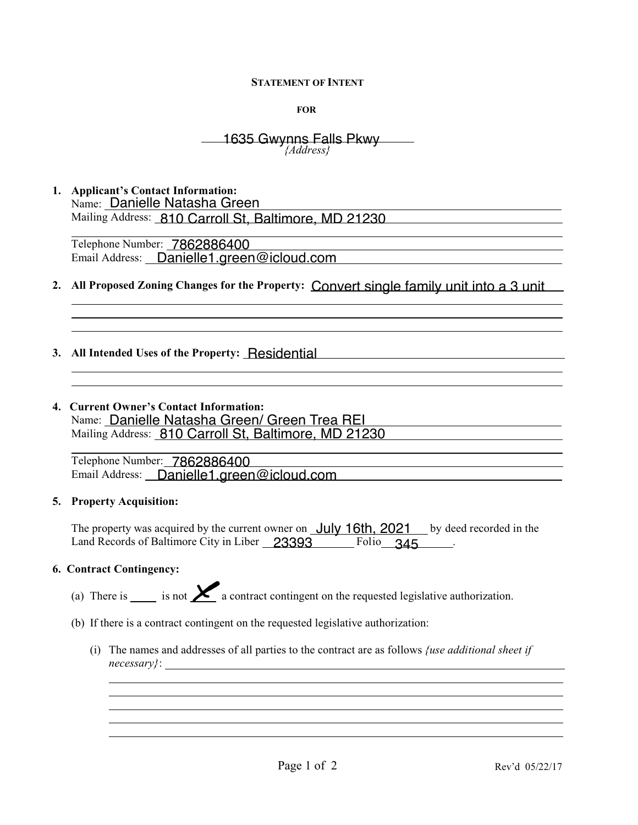#### **STATEMENT OF INTENT**

**FOR**

#### $\overline{a}$ *{Address}* 1635 Gwynns Falls Pkwy

**1. Applicant's Contact Information:** Name: Danielle Natasha Green Mailing Address: 810 Carroll St, Baltimore, MD 21230

l Telephone Number: 7862886400 Email Address: Danielle1.green@icloud.com

- **2. All Proposed Zoning Changes for the Property:**
- **3. All Intended Uses of the Property:**  Residential
- **4. Current Owner's Contact Information:** Name: <u>Danielle Natasha Green/ Green Trea REI</u> Mailing Address: 810 Carroll St, Baltimore, MD 21230 92886400<br>
Danielle1.green@icloud.com<br>
ing Changes for the Property: Convert sing<br>
of the Property: Residential<br>
Contact Information:<br>
Natasha Green/ Green Trea REI<br>
810 Carroll St, Baltimore, MD 21230 Danielle1.green@icloud.com<br>
ing Changes for the Property: Convert single family unit into a 3 unit<br>
.<br>
of the Property: \_Residential<br>
.<br>
Contact Information:<br>
.<br>
2 Natasha Green/ Green Trea REI<br>
.<br>
810 Carroll St, Baltimor

l Telephone Number: 7862886400 Email Address: **Danielle1.green@icloud.com** 

# **5. Property Acquisition:**

l

l

The property was acquired by the current owner on **July 16th, 2021** by deed recorded in the Land Records of Baltimore City in Liber 23393 Folio 345

### **6. Contract Contingency:**

 $\overline{a}$ 

- (a) There is  $\sum$  is not  $\sum$  a contract contingent on the requested legislative authorization.
- (b) If there is a contract contingent on the requested legislative authorization:
	- (i) The names and addresses of all parties to the contract are as follows *{use additional sheet if necessary}*: